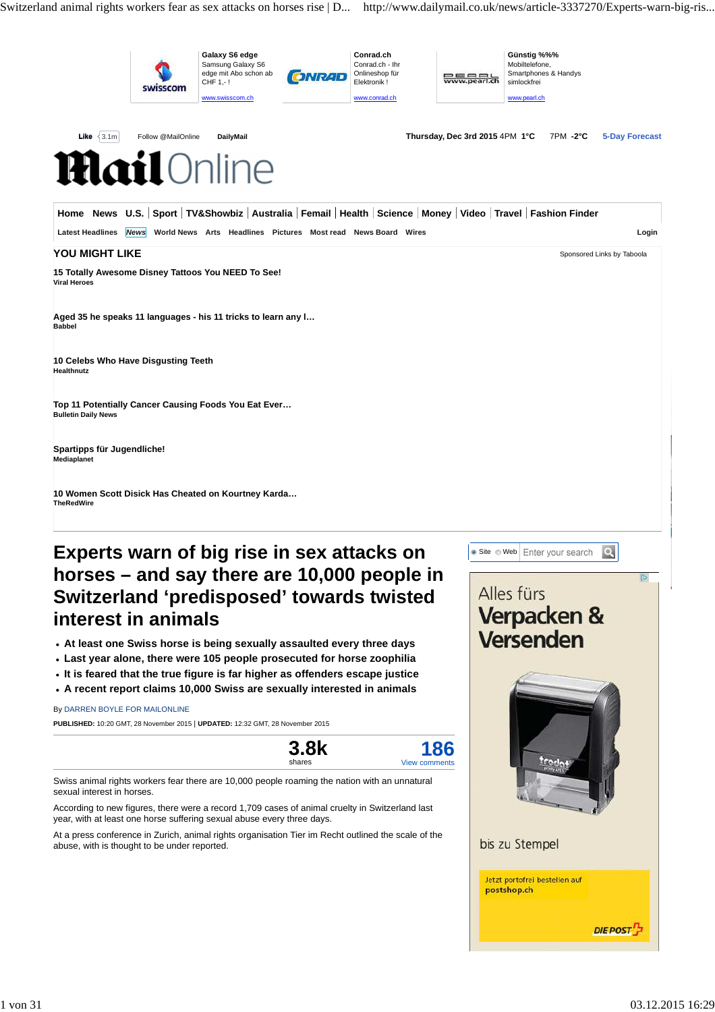Switzerland animal rights workers fear as sex attacks on horses rise | D... http://www.dailymail.co.uk/news/article-3337270/Experts-warn-big-ris...



## **horses – and say there are 10,000 people in Switzerland 'predisposed' towards twisted interest in animals**

- **At least one Swiss horse is being sexually assaulted every three days**
- **Last year alone, there were 105 people prosecuted for horse zoophilia**
- **It is feared that the true figure is far higher as offenders escape justice**
- **A recent report claims 10,000 Swiss are sexually interested in animals**

#### By DARREN BOYLE FOR MAILONLINE

**PUBLISHED:** 10:20 GMT, 28 November 2015 | **UPDATED:** 12:32 GMT, 28 November 2015

| <b>3.8k</b> | 186           |
|-------------|---------------|
| shares      | View comments |

Swiss animal rights workers fear there are 10,000 people roaming the nation with an unnatural sexual interest in horses.

According to new figures, there were a record 1,709 cases of animal cruelty in Switzerland last year, with at least one horse suffering sexual abuse every three days.

At a press conference in Zurich, animal rights organisation Tier im Recht outlined the scale of the abuse, with is thought to be under reported.